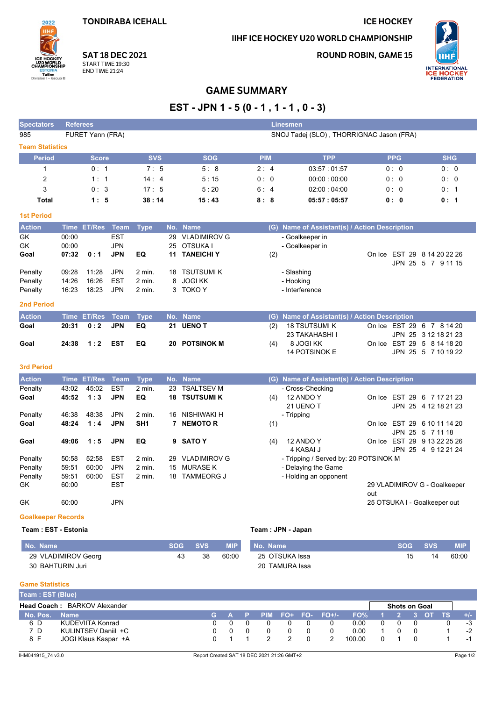**TONDIRABA ICEHALL** 

## **ICE HOCKEY**

IIHF ICE HOCKEY U20 WORLD CHAMPIONSHIP

**ROUND ROBIN, GAME 15** 



**SAT 18 DEC 2021** START TIME 19:30 **END TIME 21:24** 

2022

# **GAME SUMMARY**

EST - JPN 1 - 5 (0 - 1, 1 - 1, 0 - 3)

| <b>Spectators</b>         | <b>Referees</b>                                              |               |             |                 |     |                     |            |     | <b>Linesmen</b>                               |     |            |                                                    |
|---------------------------|--------------------------------------------------------------|---------------|-------------|-----------------|-----|---------------------|------------|-----|-----------------------------------------------|-----|------------|----------------------------------------------------|
| 985                       | FURET Yann (FRA)<br>SNOJ Tadej (SLO), THORRIGNAC Jason (FRA) |               |             |                 |     |                     |            |     |                                               |     |            |                                                    |
| <b>Team Statistics</b>    |                                                              |               |             |                 |     |                     |            |     |                                               |     |            |                                                    |
| <b>Period</b>             |                                                              | <b>Score</b>  |             | <b>SVS</b>      |     | <b>SOG</b>          | <b>PIM</b> |     | <b>TPP</b>                                    |     | <b>PPG</b> | <b>SHG</b>                                         |
| 1                         |                                                              | 0:1           |             | 7:5             |     | 5:8                 | 2:4        |     | 03:57:01:57                                   |     | 0: 0       | 0:0                                                |
| 2                         |                                                              | 1:1           |             | 14:4            |     | 5:15                | 0:0        |     | 00:00:00:00                                   |     | 0:0        | 0:0                                                |
| 3                         |                                                              | 0:3           |             | 17:5            |     | 5:20                | 6:4        |     | 02:00:04:00                                   |     | 0:0        | 0:1                                                |
| <b>Total</b>              |                                                              | 1:5           |             | 38:14           |     | 15:43               | 8:8        |     | 05:57:05:57                                   |     | 0: 0       | 0:1                                                |
| <b>1st Period</b>         |                                                              |               |             |                 |     |                     |            |     |                                               |     |            |                                                    |
| <b>Action</b>             |                                                              | Time ET/Res   | Team        | <b>Type</b>     |     | No. Name            |            |     | (G) Name of Assistant(s) / Action Description |     |            |                                                    |
| GK                        | 00:00                                                        |               | <b>EST</b>  |                 | 29  | <b>VLADIMIROV G</b> |            |     | - Goalkeeper in                               |     |            |                                                    |
| <b>GK</b>                 | 00:00                                                        |               | <b>JPN</b>  |                 | 25  | OTSUKA I            |            |     | - Goalkeeper in                               |     |            |                                                    |
| Goal                      | 07:32                                                        | 0:1           | <b>JPN</b>  | EQ              |     | 11 TANEICHI Y       |            | (2) |                                               |     |            | On Ice EST 29 8 14 20 22 26                        |
| Penalty                   | 09:28                                                        | 11:28         | <b>JPN</b>  | 2 min.          | 18  | <b>TSUTSUMIK</b>    |            |     | - Slashing                                    |     |            | JPN 25 5 7 9 11 15                                 |
| Penalty                   | 14:26                                                        | 16:26         | <b>EST</b>  | 2 min.          | 8   | <b>JOGI KK</b>      |            |     | - Hooking                                     |     |            |                                                    |
| Penalty                   | 16:23                                                        | 18:23         | <b>JPN</b>  | 2 min.          | 3   | TOKO Y              |            |     | - Interference                                |     |            |                                                    |
| <b>2nd Period</b>         |                                                              |               |             |                 |     |                     |            |     |                                               |     |            |                                                    |
| <b>Action</b>             | <b>Time</b>                                                  | <b>ET/Res</b> | <b>Team</b> | <b>Type</b>     | No. | <b>Name</b>         |            | (G) | Name of Assistant(s) / Action Description     |     |            |                                                    |
| Goal                      | 20:31                                                        | 0:2           | <b>JPN</b>  | EQ              | 21  | <b>UENO T</b>       |            | (2) | <b>18 TSUTSUMI K</b><br>23 TAKAHASHI I        |     |            | On Ice EST 29 6 7 8 14 20<br>JPN 25 3 12 18 21 23  |
| Goal                      | 24:38                                                        | 1:2           | <b>EST</b>  | EQ              | 20  | <b>POTSINOK M</b>   |            | (4) | 8 JOGI KK<br><b>14 POTSINOK E</b>             |     |            | On Ice EST 29 5 8 14 18 20<br>JPN 25 5 7 10 19 22  |
| <b>3rd Period</b>         |                                                              |               |             |                 |     |                     |            |     |                                               |     |            |                                                    |
| <b>Action</b>             |                                                              | Time ET/Res   | <b>Team</b> | <b>Type</b>     |     | No. Name            |            |     | (G) Name of Assistant(s) / Action Description |     |            |                                                    |
| Penalty                   | 43:02                                                        | 45:02         | <b>EST</b>  | 2 min.          | 23  | <b>TSALTSEV M</b>   |            |     | - Cross-Checking                              |     |            |                                                    |
| Goal                      | 45:52                                                        | 1:3           | <b>JPN</b>  | EQ              | 18  | <b>TSUTSUMI K</b>   |            | (4) | 12 ANDO Y<br>21 UENO T                        |     |            | On Ice EST 29 6 7 17 21 23<br>JPN 25 4 12 18 21 23 |
| Penalty                   | 46:38                                                        | 48:38         | <b>JPN</b>  | 2 min.          | 16  | NISHIWAKI H         |            |     | - Tripping                                    |     |            |                                                    |
| Goal                      | 48:24                                                        | 1:4           | <b>JPN</b>  | SH <sub>1</sub> |     | 7 NEMOTOR           |            | (1) |                                               |     |            | On Ice EST 29 6 10 11 14 20                        |
|                           |                                                              |               |             |                 |     |                     |            |     |                                               |     |            | JPN 25 5 7 11 18                                   |
| Goal                      | 49:06                                                        | 1:5           | <b>JPN</b>  | EQ              | 9   | <b>SATO Y</b>       |            | (4) | 12 ANDO Y<br>4 KASAI J                        |     |            | On Ice EST 29 9 13 22 25 26<br>JPN 25 4 9 12 21 24 |
| Penalty                   | 50:58                                                        | 52:58         | <b>EST</b>  | 2 min.          | 29  | <b>VLADIMIROV G</b> |            |     | - Tripping / Served by: 20 POTSINOK M         |     |            |                                                    |
| Penalty                   | 59:51                                                        | 60:00         | <b>JPN</b>  | 2 min.          | 15  | <b>MURASE K</b>     |            |     | - Delaying the Game                           |     |            |                                                    |
| Penalty                   | 59:51                                                        | 60:00         | <b>EST</b>  | 2 min.          | 18  | <b>TAMMEORG J</b>   |            |     | - Holding an opponent                         |     |            |                                                    |
| GK                        | 60:00                                                        |               | <b>EST</b>  |                 |     |                     |            |     |                                               | out |            | 29 VLADIMIROV G - Goalkeeper                       |
| GK.                       | 60.00                                                        |               | <b>JPN</b>  |                 |     |                     |            |     |                                               |     |            | 25 OTSUKA I - Goalkeeper out                       |
| <b>Goalkeeper Records</b> |                                                              |               |             |                 |     |                     |            |     |                                               |     |            |                                                    |

### Team : EST - Estonia

## Team : JPN - Japan

| No. Name            | <b>SOG</b> | <b>SVS</b> | <b>MIP</b> | No. Name       | SOG A | <b>SVS</b> | MIP.  |
|---------------------|------------|------------|------------|----------------|-------|------------|-------|
| 29 VLADIMIROV Georg | 43         | 38         | 60:00      | 25 OTSUKA Issa |       | 14         | 60:00 |
| 30 BAHTURIN Juri    |            |            |            | 20 TAMURA Issa |       |            |       |

#### **Game Statistics**

| Team: EST (Blue) |                                     |       |  |  |                   |        |                      |     |  |       |
|------------------|-------------------------------------|-------|--|--|-------------------|--------|----------------------|-----|--|-------|
|                  | <b>Head Coach: BARKOV Alexander</b> |       |  |  |                   |        | <b>Shots on Goal</b> |     |  |       |
| No. Pos.         | <b>Name</b>                         | AGA P |  |  | PIM FO+ FO- FO+/- | FO%    |                      |     |  | $+/-$ |
| 6 D              | KUDEVIITA Konrad                    |       |  |  |                   | 0.00   |                      |     |  | -3    |
| 7 D              | KULINTSEV Daniil +C                 |       |  |  |                   | 0.00   |                      | - 0 |  | $-2$  |
| 8 F              | JOGI Klaus Kaspar +A                |       |  |  |                   | 100.00 |                      |     |  |       |